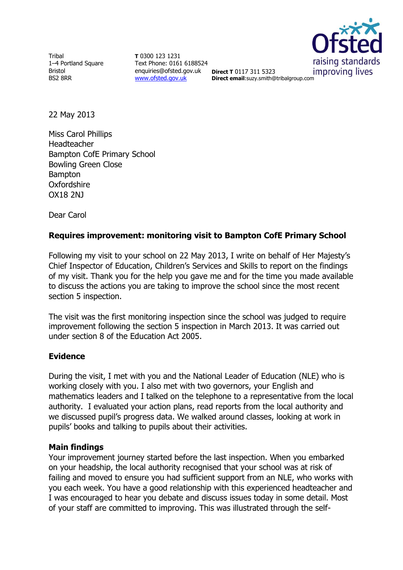Tribal 1–4 Portland Square Bristol BS2 8RR

**T** 0300 123 1231 Text Phone: 0161 6188524 enquiries@ofsted.gov.uk [www.ofsted.gov.uk](http://www.ofsted.gov.uk/)



**Direct T** 0117 311 5323 **Direct email**:suzy.smith@tribalgroup.com

22 May 2013

Miss Carol Phillips Headteacher Bampton CofE Primary School Bowling Green Close Bampton **Oxfordshire** OX18 2NJ

Dear Carol

## **Requires improvement: monitoring visit to Bampton CofE Primary School**

Following my visit to your school on 22 May 2013, I write on behalf of Her Majesty's Chief Inspector of Education, Children's Services and Skills to report on the findings of my visit. Thank you for the help you gave me and for the time you made available to discuss the actions you are taking to improve the school since the most recent section 5 inspection.

The visit was the first monitoring inspection since the school was judged to require improvement following the section 5 inspection in March 2013. It was carried out under section 8 of the Education Act 2005.

## **Evidence**

During the visit, I met with you and the National Leader of Education (NLE) who is working closely with you. I also met with two governors, your English and mathematics leaders and I talked on the telephone to a representative from the local authority. I evaluated your action plans, read reports from the local authority and we discussed pupil's progress data. We walked around classes, looking at work in pupils' books and talking to pupils about their activities.

## **Main findings**

Your improvement journey started before the last inspection. When you embarked on your headship, the local authority recognised that your school was at risk of failing and moved to ensure you had sufficient support from an NLE, who works with you each week. You have a good relationship with this experienced headteacher and I was encouraged to hear you debate and discuss issues today in some detail. Most of your staff are committed to improving. This was illustrated through the self-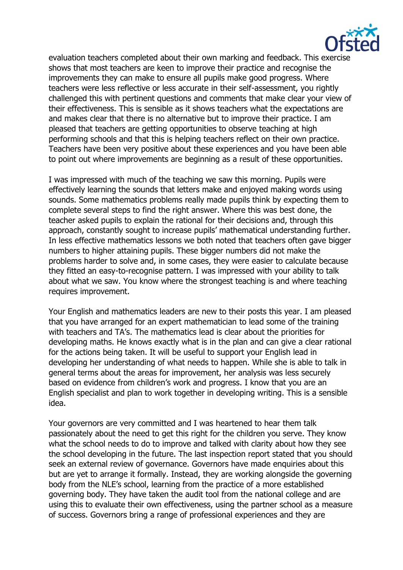

evaluation teachers completed about their own marking and feedback. This exercise shows that most teachers are keen to improve their practice and recognise the improvements they can make to ensure all pupils make good progress. Where teachers were less reflective or less accurate in their self-assessment, you rightly challenged this with pertinent questions and comments that make clear your view of their effectiveness. This is sensible as it shows teachers what the expectations are and makes clear that there is no alternative but to improve their practice. I am pleased that teachers are getting opportunities to observe teaching at high performing schools and that this is helping teachers reflect on their own practice. Teachers have been very positive about these experiences and you have been able to point out where improvements are beginning as a result of these opportunities.

I was impressed with much of the teaching we saw this morning. Pupils were effectively learning the sounds that letters make and enjoyed making words using sounds. Some mathematics problems really made pupils think by expecting them to complete several steps to find the right answer. Where this was best done, the teacher asked pupils to explain the rational for their decisions and, through this approach, constantly sought to increase pupils' mathematical understanding further. In less effective mathematics lessons we both noted that teachers often gave bigger numbers to higher attaining pupils. These bigger numbers did not make the problems harder to solve and, in some cases, they were easier to calculate because they fitted an easy-to-recognise pattern. I was impressed with your ability to talk about what we saw. You know where the strongest teaching is and where teaching requires improvement.

Your English and mathematics leaders are new to their posts this year. I am pleased that you have arranged for an expert mathematician to lead some of the training with teachers and TA's. The mathematics lead is clear about the priorities for developing maths. He knows exactly what is in the plan and can give a clear rational for the actions being taken. It will be useful to support your English lead in developing her understanding of what needs to happen. While she is able to talk in general terms about the areas for improvement, her analysis was less securely based on evidence from children's work and progress. I know that you are an English specialist and plan to work together in developing writing. This is a sensible idea.

Your governors are very committed and I was heartened to hear them talk passionately about the need to get this right for the children you serve. They know what the school needs to do to improve and talked with clarity about how they see the school developing in the future. The last inspection report stated that you should seek an external review of governance. Governors have made enquiries about this but are yet to arrange it formally. Instead, they are working alongside the governing body from the NLE's school, learning from the practice of a more established governing body. They have taken the audit tool from the national college and are using this to evaluate their own effectiveness, using the partner school as a measure of success. Governors bring a range of professional experiences and they are